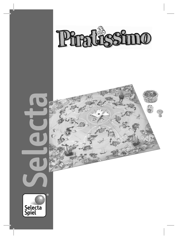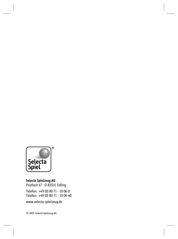

**Selecta Spielzeug AG** Postfach 47 · D-83531 Edling

Telefon: +49 (0) 80 71 - 10 06-0 Telefax: +49 (0) 80 71 - 10 06-40

www.selecta-spielzeug.de

© 2005 Selecta Spielzeug AG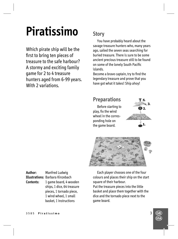# **Piratissimo**

Which pirate ship will be the first to bring ten pieces of treasure to the safe harbour? A stormy and exciting family game for 2 to 4 treasure hunters aged from 6-99 years. With 2 variations.

## **Story**

 You have probably heard about the savage treasure hunters who, many years ago, sailed the seven seas searching for buried treasure. There is sure to be some ancient precious treasure still to be found on some of the lonely South Pacific islands.

Become a brave captain, try to find the legendary treasure and prove that you have got what it takes! Ship ahoy!

### **Preparations** Before starting to play, fix the wind wheel in the corresponding hole on the game board.

 $\mathbf{E}$ 



**Author:** Manfred Ludwig **Illustrations:** Barbara Kinzebach **Contents:** 1 game board, 4 wooden ships, 1 dice, 64 treasure pieces, 1 tornado piece, 1 wind wheel, 1 small basket, 1 instructions

 Each player chooses one of the four colours and places their ship on the start square of their harbour. Put the treasure pieces into the little basket and place them together with the

dice and the tornado piece next to the game board.

> $\left(\begin{matrix} \mathbf{G} \end{matrix}\right)$  $\bar{\mathbb{G}}$

3585 **Piratissimo** 3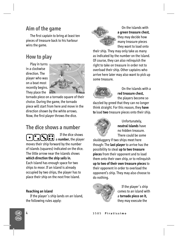## **Aim of the game**

The first captain to bring at least ten pieces of treasure back to his harbour wins the game.

## **How to play**

 Play in turns in a clockwise direction. The player who was on a boat most recently begins. They place the



tornado piece on a tornado square of their choice. During the game, the tornado piece will start from here and move in the direction shown by the white arrows. Now, the first player throws the dice.

## **The dice shows a number**

If the dice shows a **number,** the player moves their ship forward by the number of islands (squares) indicated on the dice. The little arrow near the islands shows **which direction the ship sails in.** Each island has enough space for two ships to moor. If an island is already occupied by two ships, the player has to place their ship on the next free island.

#### **Reaching an island**

 $\left(\begin{matrix} \mathbf{G} \end{matrix}\right)$  $\bar{\mathbb{G}}$ 

 If the player´s ship lands on an island, the following rules apply:



 On the islands with **a green treasure chest,**  they may decide how many treasure pieces they want to load onto

their ship. They may only take as many as indicated by the number on the island. Of course, they can also relinquish the right to take on treasure in order not to overload their ship. Other captains who arrive here later may also want to pick up some treasure.



 On the islands with a **red treasure chest,** the players become so

dazzled by greed that they can no longer think straight. For this reason, they **have to** load **two** treasure pieces onto their ship.



 Unfortunately, **neutral islands** have no hidden treasure. There could be some

skulduggery if two ships meet here though: The **last player** to arrive has the possibility to steal **up to two treasure pieces** from their opponent and to load them onto their own ship, or to relinquish **up to two of their own treasure pieces** to their opponent in order to overload the opponent's ship. They may also choose to do nothing.



 If the player´s ship comes to an island with a **tornado piece on it,** they may execute the

4 3585 **Piratissimo**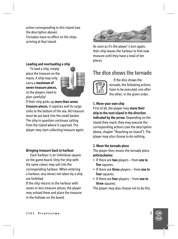action corresponding to this island (see the description above). Tornados have no effect on the ships arriving at that island.

#### **Loading and overloading a ship**

 To load a ship, simply place the treasure on the masts. A ship may only carry a **maximum of seven treasure pieces,**  so the players need to plan carefully!



If their ship picks up **more than seven treasure pieces,** it capsizes and its cargo sinks to the bottom of the sea. All treasure must be put back into the small basket. The ship in question continues sailing from the island where it capsized. The player may start collecting treasure again.

#### **Bringing treasure back to harbour**

 Each harbour is an individual square on the game board. Only the ship with the same colour may sail into the corresponding harbour. When entering a harbour, any moves not taken by a ship are forfeited.

If the ship returns to the harbour with seven or less treasure pieces, the player may unload them and place the treasure in the hollows on the board.



As soon as it's the player´s turn again, their ship leaves the harbour to find new treasure until they have a total of ten pieces.

## **The dice shows the tornado**



 If the dice shows the tornado, the following actions have to be executed, one after the other, in the given order.

#### **1. Move your own ship**

First of all, the player may **move their ship to the next island in the direction indicated by the arrow.** Depending on the island they reach, they may execute the corresponding actions (see the description above, chapter "Reaching an island"). The player may also choose to do nothing.

#### **2. Move the tornado piece**

The player then moves the tornado piece **anticlockwise:**

- If there are **two** players from **one to**  five squares.
- If there are **three** players from **one to four** squares.
- If there are **four** players from **one to three** squares.

The player may also choose not to do this.

 $\left(\begin{matrix} \mathbf{G} \end{matrix}\right)$  $\bar{\mathbb{G}}$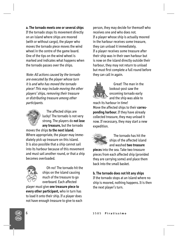**a. The tornado meets one or several ships** If the tornado stops its movement directly on an island where ships are moored (with or without cargo), the player who moves the tornado piece moves the wind wheel in the centre of the game board. One of the tips on the wind wheel is marked and indicates what happens when the tornado passes over the ships.

Note: All actions caused by the tornado are executed by the player whose turn it is and who has moved the tornado piece! This may include moving the other players' ships, removing their treasure or distributing treasure among other participants.



 The affected ships are lucky! The tornado is not very strong. The players do **not lose any treasure,** but the tornado

moves the ships **to the next island.**  Where appropriate, the player may immediately pick up treasure on this island. It is also possible that a ship cannot sail into its harbour because of this movement and must sail another round, or that a ship becomes overloaded.



 $\left(\begin{matrix} \mathbf{G} \end{matrix}\right)$  $\bar{\mathbb{G}}$ 

 Oh no! The tornado hit the ships on the island causing much of the treasure to go overboard. Each affected

player must give **one treasure piece to every other participant,** who in turn has to load it onto their ship. If a player does not have enough treasure to give to each person, they may decide for themself who receives one and who does not. If a player whose ship is actually moored in the harbour receives some treasure, they can unload it immediately. If a player receives some treasure after their ship was in their own harbour but is now on the island directly outside their harbour, they may not return to unload but must first complete a full round before they can call in again.



 Great! The man in the lookout-post saw the oncoming tornado early and the ship was able to

reach its harbour in time! Move the affected ships to their **corresponding harbour.** If they have already collected treasure, they may unload it now. If necessary, they may start a new expedition.



 The tornado has hit the ships of the affected island and washed **two treasure** 

**pieces** into the sea. Take two treasure pieces from each affected ship (provided they are carrying some) and place them back into the small basket.

**b. The tornado does not hit any ships** If the tornado stops at an island where no ship is moored, nothing happens. It is then the next player's turn.